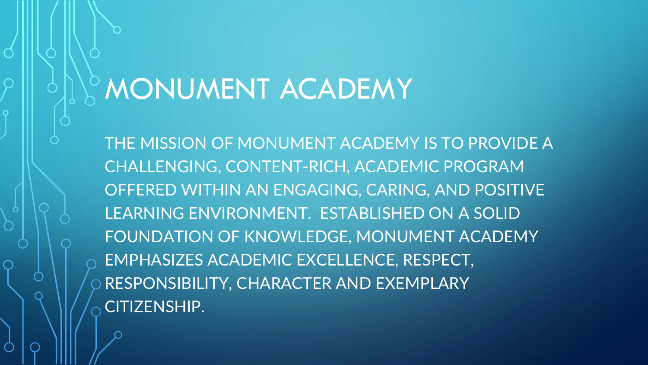### MONUMENT ACADEMY

THE MISSION OF MONUMENT ACADEMY IS TO PROVIDE A CHALLENGING, CONTENT-RICH, ACADEMIC PROGRAM OFFERED WITHIN AN ENGAGING, CARING, AND POSITIVE LEARNING ENVIRONMENT. ESTABLISHED ON A SOLID FOUNDATION OF KNOWLEDGE, MONUMENT ACADEMY EMPHASIZES ACADEMIC EXCELLENCE, RESPECT, RESPONSIBILITY, CHARACTER AND EXEMPLARY  $\sim$  CITIZENSHIP.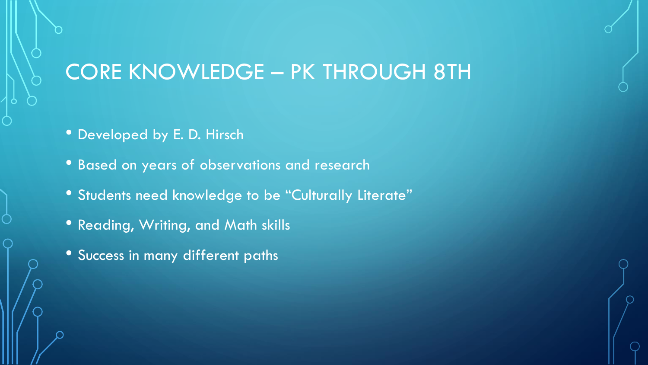#### CORE KNOWLEDGE – PK THROUGH 8TH

- Developed by E. D. Hirsch
- Based on years of observations and research
- Students need knowledge to be "Culturally Literate"
- Reading, Writing, and Math skills
- Success in many different paths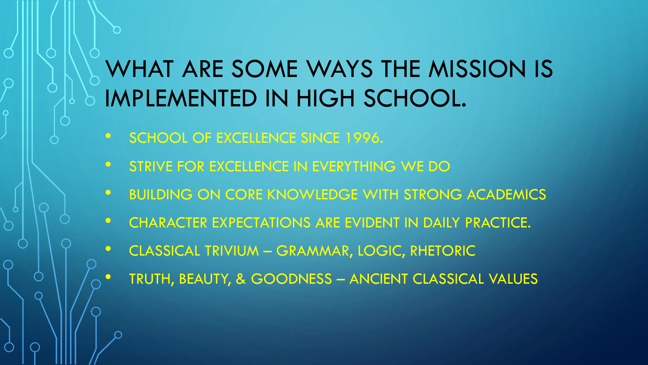### WHAT ARE SOME WAYS THE MISSION IS IMPLEMENTED IN HIGH SCHOOL.

- SCHOOL OF EXCELLENCE SINCE 1996.
- STRIVE FOR EXCELLENCE IN EVERYTHING WE DO
- **BUILDING ON CORE KNOWLEDGE WITH STRONG ACADEMICS**
- CHARACTER EXPECTATIONS ARE EVIDENT IN DAILY PRACTICE.
- CLASSICAL TRIVIUM GRAMMAR, LOGIC, RHETORIC
	- TRUTH, BEAUTY, & GOODNESS ANCIENT CLASSICAL VALUES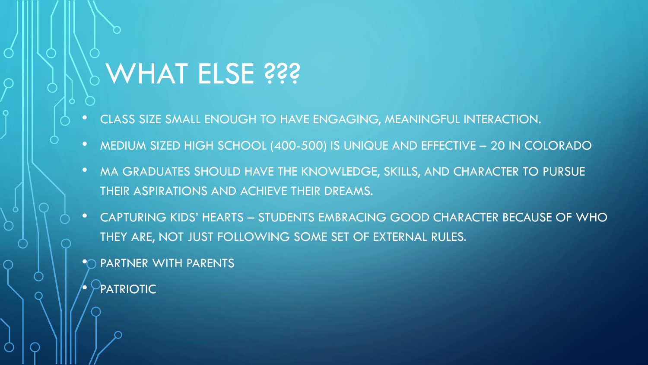## *P* **WHAT ELSE ???**

- CLASS SIZE SMALL ENOUGH TO HAVE ENGAGING, MEANINGFUL INTERACTION.
- MEDIUM SIZED HIGH SCHOOL (400-500) IS UNIQUE AND EFFECTIVE 20 IN COLORADO
- MA GRADUATES SHOULD HAVE THE KNOWLEDGE, SKILLS, AND CHARACTER TO PURSUE THEIR ASPIRATIONS AND ACHIEVE THEIR DREAMS.
- CAPTURING KIDS' HEARTS STUDENTS EMBRACING GOOD CHARACTER BECAUSE OF WHO THEY ARE, NOT JUST FOLLOWING SOME SET OF EXTERNAL RULES.
- PARTNER WITH PARENTS
- PATRIOTIC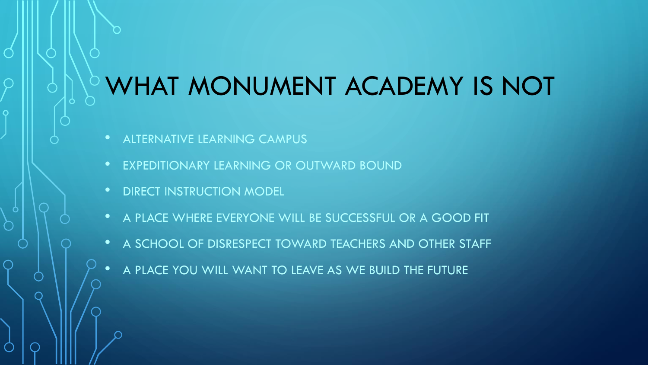### WHAT MONUMENT ACADEMY IS NOT

- ALTERNATIVE LEARNING CAMPUS
- EXPEDITIONARY LEARNING OR OUTWARD BOUND
- DIRECT INSTRUCTION MODEL
- A PLACE WHERE EVERYONE WILL BE SUCCESSFUL OR A GOOD FIT
- A SCHOOL OF DISRESPECT TOWARD TEACHERS AND OTHER STAFF
- A PLACE YOU WILL WANT TO LEAVE AS WE BUILD THE FUTURE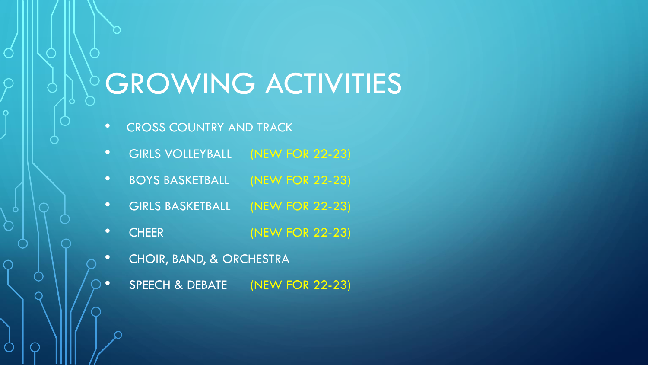# **GROWING ACTIVITIES**

• CROSS COUNTRY AND TRACK

 $\bigcap$ 

 $\overline{O}$ 

- GIRLS VOLLEYBALL (NEW FOR 22-23)
- BOYS BASKETBALL (NEW FOR 22-23)
- GIRLS BASKETBALL (NEW FOR 22-23)
- CHEER (NEW FOR 22-23)
- CHOIR, BAND, & ORCHESTRA
- SPEECH & DEBATE (NEW FOR 22-23)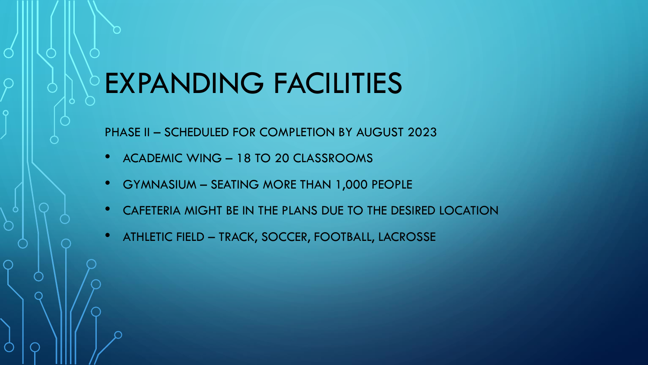## EXPANDING FACILITIES

PHASE II – SCHEDULED FOR COMPLETION BY AUGUST 2023

- ACADEMIC WING 18 TO 20 CLASSROOMS
- GYMNASIUM SEATING MORE THAN 1,000 PEOPLE
- CAFETERIA MIGHT BE IN THE PLANS DUE TO THE DESIRED LOCATION
- ATHLETIC FIELD TRACK, SOCCER, FOOTBALL, LACROSSE